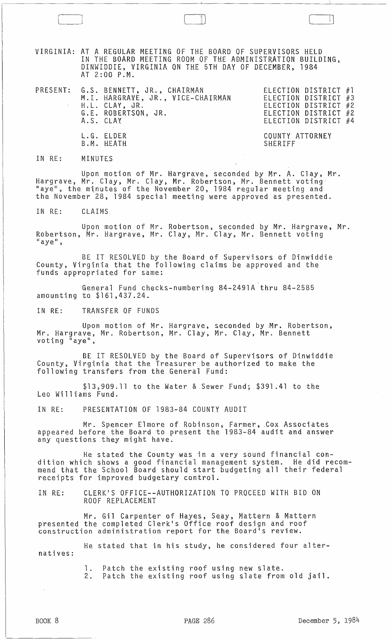VIRGINIA: AT A REGULAR MEETING OF THE BOARD OF SUPERVISORS HELD IN THE BOARD MEETING ROOM OF THE ADMINISTRATION BUILDING, DINWIDDIE, VIRGINIA ON THE 5TH DAY OF DECEMBER, 1984 AT 2:00 P.M.

 $\blacksquare$ 

PRESENT: G.S. BENNETT, JR., CHAIRMAN FREECTION DISTRICT #1 ELECTION DISTRICT #3 ELECTION DISTRICT #2 ELECTION DISTRICT #2 ELECTION DISTRICT #4 M.I. HARGRAVE, JR., VICE-CHAIRMAN H.L. CLAY, JR. G.E. ROBERTSON, JR. A.S. CLAY L.G. ELDER B.M. HEATH COUNTY ATTORNEY **SHERIFF** 

IN RE: MINUTE.S

Upon motion of Mr. Hargrave, seconded by Mr. A. Clay, Mr. Hargrave, Mr. Clay, Mr. Clay, Mr. Robertson, Mr. Bennett voting' "aye", the minutes of the November 20, 1984 regular meeting and the November 28, 1984 special meeting were approved as presented.

IN RE: CLAIMS

Upon motion of Mr. Robertson, seconded by Mr. Hargrave, Mr. Robertson, Mr. Hargrave, Mr. Clay, Mr. Clay, Mr. Bennett voting<br>"aye",

BE IT RESOLVED by the Board of Supervisors of Dinwiddie County, Virginia that the following claims be approved and the funds appropriated for same:

General Fund checks-numbering 84-2491A thru 84-2585 amounting to \$161,437.24.

IN RE: TRANSFER OF FUNDS

Upon motion of Mr. Hargrave, seconded by Mr. Robertson, Mr. Hargrave, Mr. Robertson, Mr. Clay, Mr. Clay, Mr. Bennett voting <sup>n</sup>aye",

BE IT RESOLVED by the Board of Supervisors of Dinwiddie County, Virginia that the Treasurer be authorized to make the following transfers from the General Fund:

\$13,909.11 to the Water & Sewer Fund; \$391.41 to the Leo Williams Fund.

IN RE: PRESENTATION OF 1983-84 COUNTY AUDIT

Mr. Spencer Elmore of Robinson, Farmer, Cox Associates appeared before the Board to present the 1983-84 audit and answer any questions they might have.

He stated the County was in a very sound financial condition which shows a good financial management system. He .did recommend that the School Board should start budgeting all their federal receipts for improved budgetary control.

IN RE: CLERK'S OFFICE--AUTHORIZATION TO PROCEED WITH BID ON ROOF REPLACEMENT

Mr. Gil Carpenter of Hayes, Seay, Mattern & Mattern presented the completed Clerk's Office roof design and roof construction administration report for the Board's review.

He stated that in his study, he considered four alternatives:

1. Patch the existing roof using new slate.

2. Patch the existing roof using slate from old jail.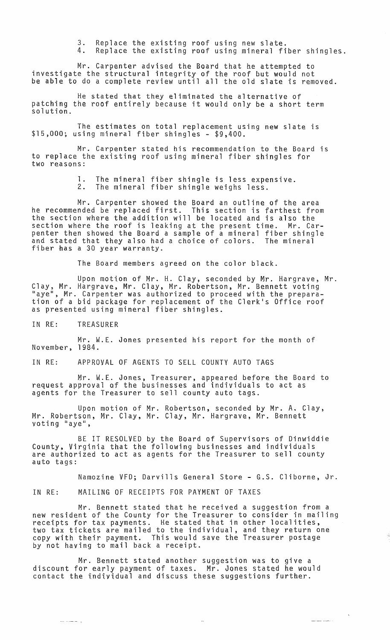3. Replace the existing roof using new slate. 4. Replace the existing roof using mineral fiber shingles.

Mr. Carpenter advised the Board that he attempted to investigate the structural integrity of the roof but would not be able to do a complete review until all the old slate is removed.

He stated that they eliminated the alternative of patching the roof entirely because it would only be a short term solution.

The estimates on total replacement using new slate is \$15,000; using mineral fiber shingles - \$9,400.

Mr. Carpenter stated his recommendation to the Board is to replace the existing roof using mineral fiber shingles for two reasons:

> **1.** The mineral fiber shingle is less expensive. 2. The mineral fiber shingle weighs less.

Mr. Carpenter showed the Board an outline of the area he recommended be replaced first. This section is farthest from the section where the addition will be located and is also the section where the roof is leaking at the present time. Mr. Carpenter then showed the Board a sample of a mineral fiber shingle<br>and stated that they also had a choice of colors. The mineral and stated that they also had a choice of colors.<br>fiber has a 30 year warranty.

The Board members agreed on the color black.

Upon motion of Mr. H. Clay, seconded by Mr. Hargrave, Mr. Clay, Mr. Hargrave, Mr. Clay, Mr. Robertson, Mr. Bennett voting "aye", Mr. Carpenter was authorized to proceed with the preparation of a bid package for replacement of the Clerk's Office roof as presented using mineral fiber shingles.

IN RE: TREASURER

المستنب

Mr. W.E. Jones presented his report for the month of November, 1984.

IN RE: APPROVAL OF AGENTS TO SELL COUNTY AUTO TAGS

Mr. W.E. Jones, Treasurer, appeared before the Board to request approval of the businesses and individuals to act as agents for the Treasurer to sell county auto tags.

Upon motion of Mr. Robertson, seconded by Mr. A. Clay, Mr. Robertson, Mr. Clay, Mr. Clay, Mr. Hargrave, Mr. Bennett voting "aye",

BE IT RESOLVED by the Board of Supervisors of Dinwiddie County, Virginia that the following businesses and individuals are authorized to act as agents for the Treasurer to sell county auto tags:

Namozine VFD; Darvills General Store - G.S. Cliborne, Jr.

رايا المستدلسة

IN RE: MAILING OF RECEIPTS FOR PAYMENT OF TAXES

Mr. Bennett stated that he received a suggestion from a new resident of the County for the Treasurer to consider in mailing receipts for tax payments. He stated that in other localities, two tax tickets are mailed to the individual, and they return one copy with their payment. This would save the Treasurer postage by not having to mail back a receipt.

Mr. Bennett stated another suggestion was to give a discount for early payment of taxes. Mr. Jones stated he would contact the individual and discuss these suggestions further.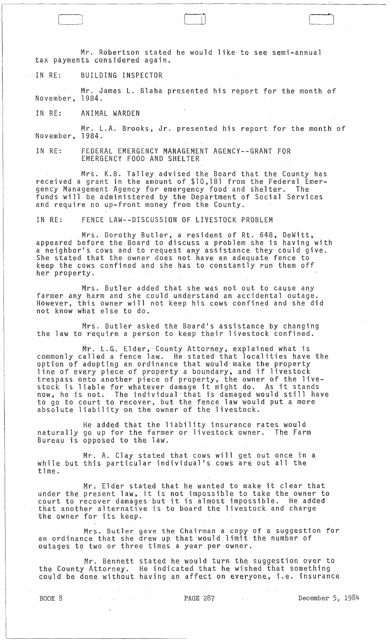Mr. Robertson stated he would like to see semi-annual tax payments considered again.

IN RE: BUILDING INSPECTOR

 $\begin{pmatrix} 1 & 1 \\ 1 & 1 \end{pmatrix}$ 

Mr. James L. Blaha presented his report for the month of November, 1984.

IN RE: ANIMAL WARDEN

Mr. L.A. Brooks, Jr. presented his report for the month of November, 1984.

IN RE: FEDERAL EMERGENCY MANAGEMENT AGENCY--GRANT FOR EMERGENCY FOOD AND SHELTER

Mrs. K.B. Talley advised the Board that the County has received a grant in the amount of \$10,181 from the Federal Emergency Management Agency for emergency food and shelter. The funds will be administered by the Department of Social Services and require no up-front money from the County.

IN RE: FENCE LAW--DISCUSSION OF LIVESTOCK PROBLEM

Mrs. Dorothy Butler, a resident of Rt. 648, DeWitt, appeared before the Board to discuss a problem she is having with a neighbor's cows and to request any assistance they could give. She stated that the' owner does not have an adequate fence to keep the cows confined and she has to constantly run them off her property.

Mrs. Butler added that she was not out to cause any farmer any harm and she could understand an accidental outage. However, this owner will not keep his cows confined and she did not know what else to do.

Mrs. Butler asked the Board's assistance by changing the law to require a person to keep their livestock confined.

Mr. L.G. Elder, County Attorney, explained what is commonly called a fence law. He stated that localities have the option of adopting an ordinance that would make the property line of every piece of property a boundary, and if livestock trespass onto another piece of property, the owner of the livestock is liable for whatever damage it might do. As it stands stock is itable for whatever damage it might do. As it stands to go to court to recover, but the fence law would put a more absolute liability on the owner of the livestock.

He added that the liability insurance rates would naturally go up for the farmer or livestock owner. The Farm Bureau is opposed to the law.

Mr. A. Clay stated that cows will get out once in a while but this particular individual's cows are out all the time ..

Mr. Elder stated that he wanted to make it clear that under the present law, it is not impossible to take the owner to court to recover damages-but it is almost impossible. He added that another alternative is to board the livestock and charge the owner for its keep.

Mrs. Butler gave the Chairman a copy of a suggestion for an ordinance that she drew up that would limit the number of outages to two or three times a year per owner.

Mr. Bennett stated he would turn the suggestion oyer to the County Attorney. He indicated that he 'wished that something could be done without having an affect on everyone, i.e. insurance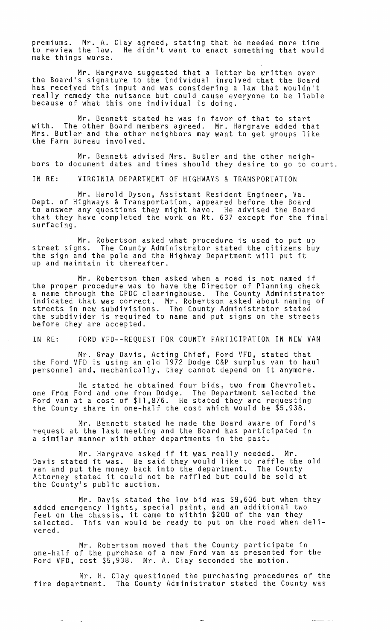premiums. Mr. A. Clay agreed, stating that he needed more time to review the law. He didn't want to enact something that would make things worse.

Mr. Hargrave suggested that a letter be written over the Board's signature to the individual involved that the Board has received this input and was considering a law that wouldn't really remedy the nuisance but could cause everyone to be liable because of what this one individual is doing.

Mr. Bennett stated he was in favor of that to start with. The ather Board members agreed. Mr. Hargrave added that Mrs. Butler and the other neighbors may want to get groups like the Farm Bureau involved.

Mr. Bennett advised Mrs. Butler and the other neighbors to document dates and times should they desire to go to court.

IN RE: VIRGINIA DEPARTMENT OF HIGHWAYS & TRANSPORTATION

Mr. Harold Dyson, Assistant Resident Engineer, Va. Dept. of Highways & Transportation, appeared before the Board to answer any questions they might have. He advised the Board that they have completed the work on Rt. 637 except for the final surfacing.

Mr. Robertson asked what procedure is used to put up street signs. The County Administrator stated the citizens buy the sign and the pole and the Highway Department will put it up and maintain it thereafter.

Mr. Robertson then asked when a road is not named if the proper procedure was to have the Director of Planning check a name through the CPDC clearinghouse. The County Administrator indicated that was correct. Mr. Robertson asked about naming of streets in new subdivisions. The County Administrator stated the subdivider is required to name and put signs on the streets before they are accepted.

IN RE: FORD VFD--REQUEST FOR COUNTY PARTICIPATION IN NEW VAN

Mr. Gray Davis, Acting Chief, Ford VFD, stated that the Ford VFD is using an old 1972 Dodge C&P surplus van to haul personnel and, mechanically, they cannot depend on it anymore.

He stated he obtained four bids, two from Chevrolet, one from Ford and one from Dodge. The Department selected the Ford van at a cost of \$11,876. He stated they are requesting the County share in one-half the cost which would be \$5,938.

Mr. Bennett stated he made the Board aware of Ford's request at the last meeting and the Board has participated in a similar manner with other departments in the past.

Mr. Hargrave asked if it was really needed. Mr. prove a sked it it was really needed. Mr.<br>Davis stated it was. He said they would like to raffle the old van and put the money back into the department. The County Attorney stated it could not be raffled but could be sold at the County's public auction.

Mr. Davis stated the low bid was \$9,606 but when they added emergency lights, special paint, and an additional two added emergency rights, special pathl, and an additional two<br>feet on the chassis, it came to within \$200 of the van they selected. This van would be ready to put on the road when delivered.

Mr. Robertson moved that the County participate in one-half of the purchase of a new Ford van as presented fOr the Ford VFD, cost \$5,938. Mr. A. Clay seconded the motion.

Mr. H. Clay questioned the purchasing procedures of the fire department. The County Administrator stated the County was

 $\begin{tabular}{lllllll} \toprule \small{0.2mm}{0.2mm} \multicolumn{2}{c|}{\hspace{-2.2mm} \textbf{m} \hspace{-2.2mm} \textbf{m} \hspace{-2.2mm} \textbf{m} \hspace{-2.2mm} \textbf{m} \hspace{-2.2mm} \textbf{m} \hspace{-2.2mm} \textbf{m} \hspace{-2.2mm} \textbf{m} \hspace{-2.2mm} \textbf{m} \hspace{-2.2mm} \textbf{m} \hspace{-2.2mm} \textbf{m} \hspace{-2.2mm} \textbf{m} \hspace{-2.2mm} \textbf{m} \hspace$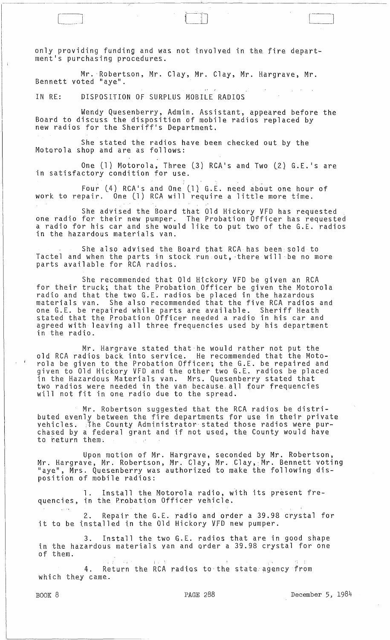only providing funding and was not involved in the fire departmentis purchasing procedures.

Mr. Robertson, Mr. Clay, Mr. Clay, Mr. Hargrave, Mr.<br>Bennett voted "aye".

IN RE: DISPOSITION OF SURPLUS MOBILE RAOIOS

Wendy Quesenberry, Admin. Assistant, appeared before the Board to discuss the disposition of mobile radios replaced by new radios for the Sheriffls Oepartment.

She stated the radios have been checked out by the Motorola shop and are as follows:

One (1) Motorola, Three (3) RCA's and Two (2) G.E.'s are in satisfactory condition for use.

Four (4) RCA's and One (1) G.E. need about one hour of work to repair. One (1) RCA will require a little more time.

She advised the Board that Old Hickory VFD has requested one radio for their new pumper. The Probation Officer has requested a radio for his car and she would like to put two of the G.E. radios in the hazardous materials van.

She also advised the Board that RCA has been sold to Tactel and when the parts in stock run out, there will be no more parts available for RCA radios.

She recommended that Old Hickory VFO be given an RCA for their truck; that the Probation Officer be given the Motorola radio and that the two G.E. radios be placed in the hazardous materials van. She also recommended that the five RCA radios and one G.E. be repaired while parts are available. Sheriff Heath stated that the Probation Officer needed a radio in his car and agreed with leaving all three frequencies used by his department in the radio.

Mr. Hargrave stated that'he would rather not put the old RCA radios back into service. He recommended that the Motorola be given to the Probation Officer; the G.E. be repaired and given to Old Hickory VFO and the other two G.E. radios be placed in the Hazardous Materials van. Mrs. Quesenberry stated that two radios were needed in the van because, all four frequencies will not fit in one radio due to the spread.

Mr. Robertson suggested that the RCA radios be distributed evenly between the fire departments for use in their private vehicles. The County Administrator stated those radios were purchased by a federal grant and if not used, the County would have to *beturn* them.

Upon motion of Mr. Hargrave, seconded by Mr. Robertson, Mr. Hargrave, Mr. Robertson, Mr. Clay, Mr. Clay,:Mr. Bennett voting "aye", Mrs. Quesenberry was authorized to make the following disposition of mobile radios:

1. Install the Motorola radio, with its present frequencies, in the Probation Officer vehicle.

2. Repair the G.E. radio and order a 39.98 crystal for it to be installed in the Old Hickory VFO new pumper.

3. Install the two G.E. radios that are in good shape in the hazardous materials van and order a 39.98 crystal for one of them.

4. Return the RCA radios to the state agency from which they came.

 $\begin{array}{|c|} \hline \hline \hline \hline \hline \hline \hline \hline \end{array}$ 

 $\Delta$  , and  $\Delta$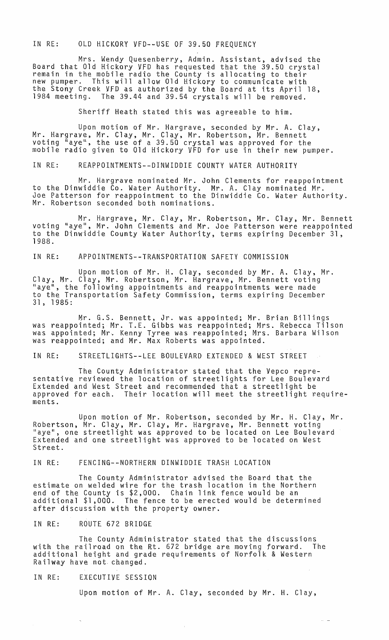IN RE: OLD HICKORY VFD--USE OF 39.50 FREQUENCY

Mrs. Wendy Quesenberry, Admin. Assistant, advised the Board that Old Hickory VFD has requested that the 39.50 crystal remain in the mobile radio the County is allocating to their new pumper. This will allow Old Hickory to communicate with the Stony Creek VFD as authorized by the Board at its April 18, 1984 meeting. The 39.44 and 39.54 crystals will be removed.

Sheriff Heath stated this was agreeable to him.

Upon motion of Mr. Hargrave, seconded by Mr. A. Clay, Mr. Hargrave, Mr. Clay, Mr. Clay, Mr. Robertson, Mr. Bennett<br>voting "aye", the use of a 39.50 crystal was approved for the mobile radio given to Old Hickory VFD for use in their new pumper.

IN RE: REAPPOINTMENTS--DINWIDDIE COUNTY WATER AUTHORITY

Mr. Hargrave nominated Mr. John Clements for reappointment to the Dinwiddie Co. Water Authority. Mr. A. Clay nominated Mr. Joe Patterson for reappointment to the Dinwiddie Co. Water Authority. Mr. Robertson seconded both nominations.

Mr. Hargrave, Mr. Clay, Mr. Robertson, Mr. Clay, Mr. Bennett voting "aye", Mr. John Clements and Mr. Joe Patterson were reappointed to the Dinwiddie County Water Authority, terms expiring December 31, 1988.

IN RE: APPOINTMENTS--TRANSPORTATION SAFETY COMMISSION

Upon motion of Mr. H. Clay, seconded by Mr. A. Clay, Mr. Clay, Mr. Clay, Mr. Robertson, Mr. Hargrave, Mr. Bennett voting "aye", the following appointments and reappointments were made to the Transportation Safety Commission, terms expiring December 31, 1985:

Mr. G.S. Bennett, Jr. was appointed; Mr. Brian Billings was reappointed; Mr. T.E. Gibbs was reappointed; Mrs. Rebecca Tilson was appointed; Mr. Kenny Tyree was reappointed; Mrs. Barbara Wilson was reappointed; and Mr. Max Roberts was appointed.

IN RE: STREETLIGHTS--LEE BOULEVARD EXTENDED & WEST STREET

The County Administrator stated that the Vepco representative reviewed the location of streetlights for Lee Boulevard Extended and West Street and recommended that a streetlight be approved for each. Their location will meet the streetlight requirements.

Upon motion of Mr. Robertson, seconded by Mr. H. Clay, Mr. Robertson, Mr. Clay, Mr. Clay, Mr. Hargrave, Mr. Bennett voting "aye", one streetlight was approved to be located on Lee Boulevard Extended and one streetlight was approved to be located on West Street.

IN RE: FENCING--NORTHERN DINWIDDIE TRASH LOCATION

The County Administrator advised the Board that the estimate on welded wire for the trash location in the Northern end of the County is \$2,000. Chain link fence would be an additional \$1,000. The fence to be erected would be determined after discussion with the property owner.

IN RE: ROUTE 672 BRIDGE

The County Administrator stated that the discussions with the railroad an the Rt. 672 bridge are moving forward. The additional height and grade requirements of Norfolk & Western Railway have not changed.

IN RE: EXECUTIVE SESSION

Upon motion of Mr. A. Clay, seconded by Mr. H. Clay,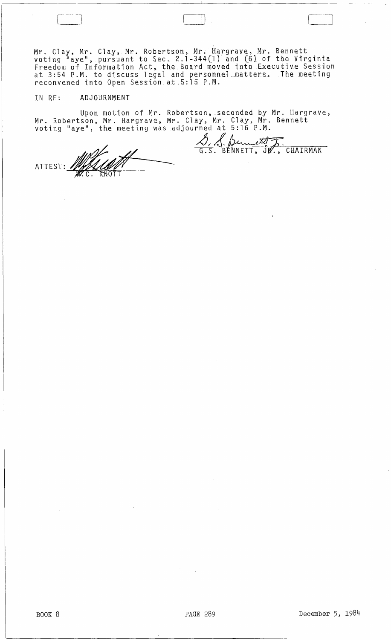Mr. Clay, *Mr.* Clay, Mr. Robertson, Mr. Hargrave, Mr. Bennett voting  $"$ aye", pursuant to Sec. 2.1-344(1) and (6) of the Virginia Freedom of Information Act, the Board moved into Executive Session at 3:54 P.M. to discuss legal and personnel~atters~ The meeting reconvened into Open Session\_ at.5:15 P.M.

## IN RE: ADJOURNMENT

 $\overline{\phantom{0}}$ 

Upon motion of Mr. Robertson, seconded by Mr. Hargrave, Mr. Robertson, Mr. Hargrave, Mr. Clay, Mr. Clay, Mr. Bennett voting "aye", the meeting was adjourned at 5:16 P.M. <u>S. S. Bennett J.</u><br>G.S. BENNETT, JR., CHAIRMAN

ATTEST: